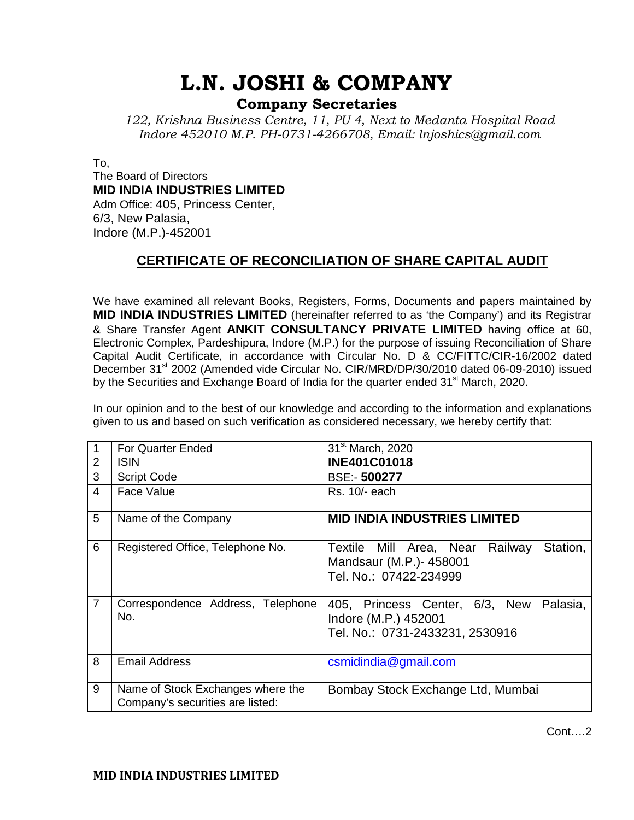# **L.N. JOSHI & COMPANY**

### **Company Secretaries**

*122, Krishna Business Centre, 11, PU 4, Next to Medanta Hospital Road Indore 452010 M.P. PH-0731-4266708, Email: lnjoshics@gmail.com* 

To, The Board of Directors **MID INDIA INDUSTRIES LIMITED** Adm Office: 405, Princess Center, 6/3, New Palasia, Indore (M.P.)-452001

### **CERTIFICATE OF RECONCILIATION OF SHARE CAPITAL AUDIT**

We have examined all relevant Books, Registers, Forms, Documents and papers maintained by **MID INDIA INDUSTRIES LIMITED** (hereinafter referred to as 'the Company') and its Registrar & Share Transfer Agent **ANKIT CONSULTANCY PRIVATE LIMITED** having office at 60, Electronic Complex, Pardeshipura, Indore (M.P.) for the purpose of issuing Reconciliation of Share Capital Audit Certificate, in accordance with Circular No. D & CC/FITTC/CIR-16/2002 dated December 31<sup>st</sup> 2002 (Amended vide Circular No. CIR/MRD/DP/30/2010 dated 06-09-2010) issued by the Securities and Exchange Board of India for the quarter ended 31<sup>st</sup> March, 2020.

In our opinion and to the best of our knowledge and according to the information and explanations given to us and based on such verification as considered necessary, we hereby certify that:

|                | <b>For Quarter Ended</b>                                              | 31 <sup>st</sup> March, 2020                                                                          |
|----------------|-----------------------------------------------------------------------|-------------------------------------------------------------------------------------------------------|
| 2              | <b>ISIN</b>                                                           | <b>INE401C01018</b>                                                                                   |
| 3              | <b>Script Code</b>                                                    | <b>BSE:-500277</b>                                                                                    |
| 4              | Face Value                                                            | Rs. 10/- each                                                                                         |
| 5              | Name of the Company                                                   | <b>MID INDIA INDUSTRIES LIMITED</b>                                                                   |
| 6              | Registered Office, Telephone No.                                      | Station,<br>Textile Mill Area, Near Railway<br>Mandsaur (M.P.)- 458001<br>Tel. No.: 07422-234999      |
| $\overline{7}$ | Correspondence Address, Telephone<br>No.                              | 405, Princess Center, 6/3, New<br>Palasia,<br>Indore (M.P.) 452001<br>Tel. No.: 0731-2433231, 2530916 |
| 8              | <b>Email Address</b>                                                  | $c$ smidindia@gmail.com                                                                               |
| 9              | Name of Stock Exchanges where the<br>Company's securities are listed: | Bombay Stock Exchange Ltd, Mumbai                                                                     |

Cont….2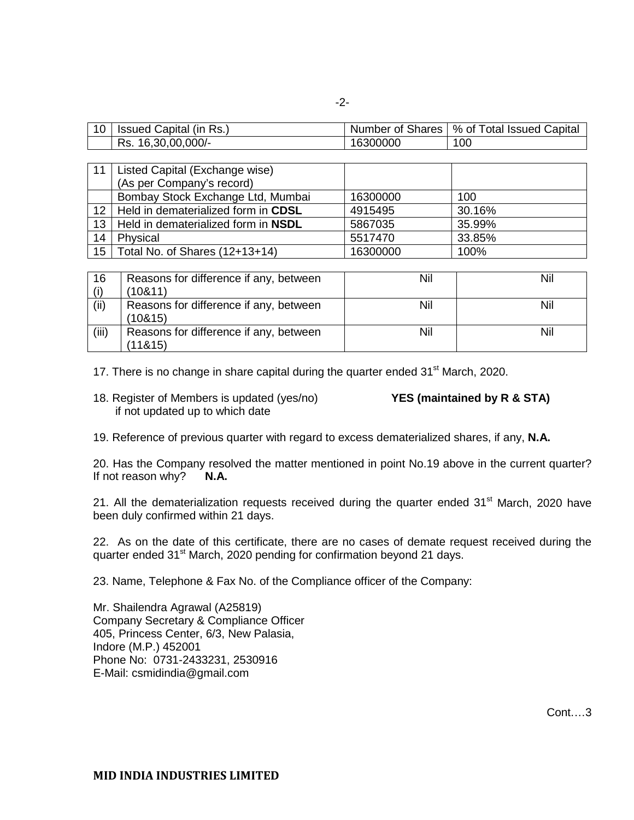| 10 | Issued Capital (in Rs.) | Number of Shares | % of Total Issued Capital |
|----|-------------------------|------------------|---------------------------|
|    | 16,30,00,000/-<br>Rs.   | 16300000         | 100                       |

| 11               | Listed Capital (Exchange wise)      |          |        |
|------------------|-------------------------------------|----------|--------|
|                  | (As per Company's record)           |          |        |
|                  | Bombay Stock Exchange Ltd, Mumbai   | 16300000 | 100    |
| 12 <sup>2</sup>  | Held in dematerialized form in CDSL | 4915495  | 30.16% |
| 13               | Held in dematerialized form in NSDL | 5867035  | 35.99% |
| 14               | Physical                            | 5517470  | 33.85% |
| 15 <sup>15</sup> | Total No. of Shares (12+13+14)      | 16300000 | 100%   |

| 16    | Reasons for difference if any, between | Nil | Nil |
|-------|----------------------------------------|-----|-----|
|       | (10811)                                |     |     |
| (ii)  | Reasons for difference if any, between | Nil | Nil |
|       | (10815)                                |     |     |
| (iii) | Reasons for difference if any, between | Nil | Nil |
|       | (11815)                                |     |     |

17. There is no change in share capital during the quarter ended  $31<sup>st</sup>$  March, 2020.

18. Register of Members is updated (yes/no) **YES (maintained by R & STA)** if not updated up to which date

19. Reference of previous quarter with regard to excess dematerialized shares, if any, **N.A.**

20. Has the Company resolved the matter mentioned in point No.19 above in the current quarter? If not reason why? **N.A.** 

21. All the dematerialization requests received during the quarter ended 31<sup>st</sup> March, 2020 have been duly confirmed within 21 days.

22. As on the date of this certificate, there are no cases of demate request received during the quarter ended 31<sup>st</sup> March, 2020 pending for confirmation beyond 21 days.

23. Name, Telephone & Fax No. of the Compliance officer of the Company:

Mr. Shailendra Agrawal (A25819) Company Secretary & Compliance Officer 405, Princess Center, 6/3, New Palasia, Indore (M.P.) 452001 Phone No: 0731-2433231, 2530916 E-Mail: csmidindia@gmail.com